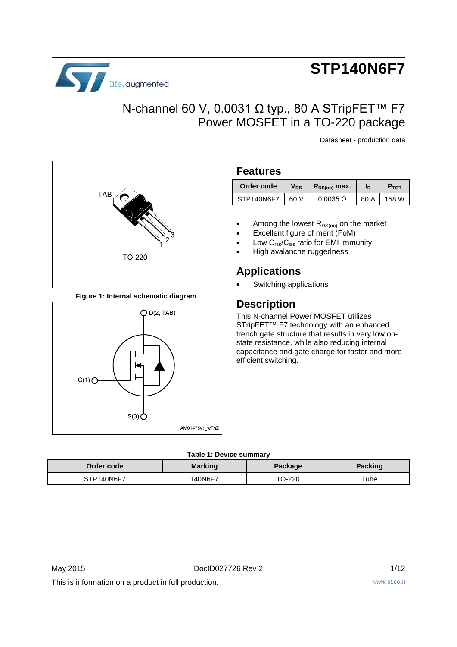

# **STP140N6F7**

Datasheet - production data

## N-channel 60 V, 0.0031 Ω typ., 80 A STripFET™ F7 Power MOSFET in a TO-220 package

**TAB** TO-220

**Figure 1: Internal schematic diagram**



### **Features**

| Order code | V <sub>DS</sub> | $R_{DS(on)}$ max. | ID   | <b>P</b> TOT |
|------------|-----------------|-------------------|------|--------------|
| STP140N6F7 | 60 V            | $0.0035 \Omega$   | 80 A | 158 W        |

- Among the lowest  $R_{DS(on)}$  on the market
- Excellent figure of merit (FoM)
- Low  $C_{\text{rss}}/C_{\text{iss}}$  ratio for EMI immunity
- High avalanche ruggedness

### **Applications**

Switching applications

## **Description**

This N-channel Power MOSFET utilizes STripFET<sup>™</sup> F7 technology with an enhanced trench gate structure that results in very low onstate resistance, while also reducing internal capacitance and gate charge for faster and more efficient switching.

#### **Table 1: Device summary**

| Order code | <b>Marking</b> | Package | <b>Packing</b> |
|------------|----------------|---------|----------------|
| STP140N6F7 | <b>40N6F7</b>  | TO-220  | $\tau$ ube     |

May 2015 DocID027726 Rev 2 1/12

This is information on a product in full production. *www.st.com*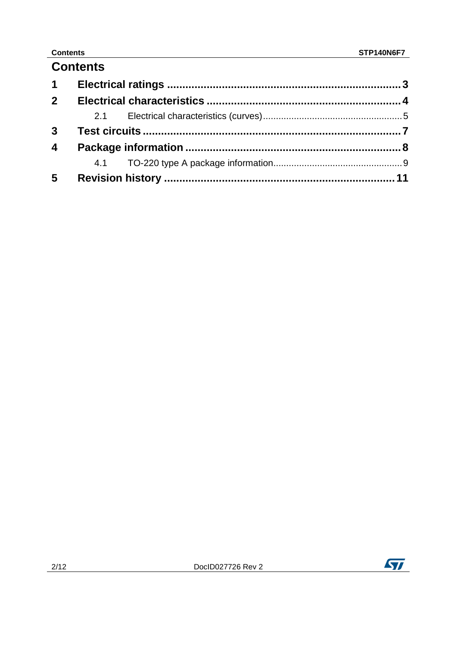## **Contents**

| $1 \quad$               |  |  |
|-------------------------|--|--|
| 2 <sup>1</sup>          |  |  |
|                         |  |  |
| 3 <sup>1</sup>          |  |  |
| $\overline{\mathbf{4}}$ |  |  |
|                         |  |  |
| $5\phantom{.0}$         |  |  |

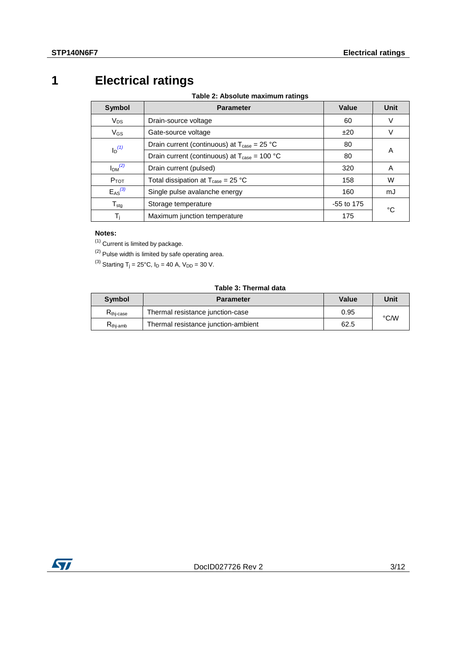## **1 Electrical ratings**

**Table 2: Absolute maximum ratings**

<span id="page-2-0"></span>

| <b>Symbol</b>                  | <b>Parameter</b>                                                     | Value | Unit |  |
|--------------------------------|----------------------------------------------------------------------|-------|------|--|
| $V_{DS}$                       | Drain-source voltage                                                 | 60    | V    |  |
| $V_{GS}$                       | Gate-source voltage                                                  | ±20   | V    |  |
| $I_D^{(1)}$                    | Drain current (continuous) at $T_{\text{case}} = 25 \text{ °C}$      | 80    | A    |  |
|                                | Drain current (continuous) at $T_{\text{case}} = 100 \text{ °C}$     | 80    |      |  |
| I <sub>DM</sub> <sup>(2)</sup> | Drain current (pulsed)                                               | 320   | A    |  |
| $P_{TOT}$                      | Total dissipation at $T_{\text{case}} = 25 \text{ }^{\circ}\text{C}$ | 158   | W    |  |
| $E_{AS}^{(3)}$                 | Single pulse avalanche energy                                        | 160   | mJ   |  |
| $T_{\text{stg}}$               | Storage temperature<br>$-55$ to 175                                  |       | °C   |  |
| T <sub>i</sub>                 | Maximum junction temperature                                         | 175   |      |  |

#### **Notes:**

<span id="page-2-1"></span> $(1)$  Current is limited by package.

<span id="page-2-2"></span> $(2)$  Pulse width is limited by safe operating area.

<span id="page-2-3"></span><sup>(3)</sup> Starting T<sub>j</sub> = 25°C,  $I_D$  = 40 A,  $V_{DD}$  = 30 V.

#### **Table 3: Thermal data**

| <b>Symbol</b>        | <b>Parameter</b>                            | Value | Unit |
|----------------------|---------------------------------------------|-------|------|
| $R_{\rm thi-case}$   | Thermal resistance junction-case            | 0.95  |      |
| $R_{\text{thi-amb}}$ | Thermal resistance junction-ambient<br>62.5 |       | °C∕W |

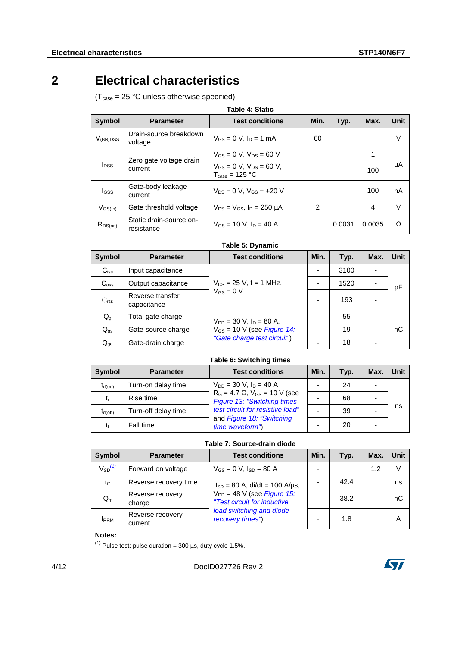## **2 Electrical characteristics**

<span id="page-3-0"></span> $(T_{\text{case}} = 25 \text{ °C}$  unless otherwise specified)

| <b>Table 4: Static</b>  |                                       |                                                                        |                |        |        |             |
|-------------------------|---------------------------------------|------------------------------------------------------------------------|----------------|--------|--------|-------------|
| <b>Symbol</b>           | <b>Parameter</b>                      | <b>Test conditions</b>                                                 | Min.           | Typ.   | Max.   | <b>Unit</b> |
| $V_{(BR)DSS}$           | Drain-source breakdown<br>voltage     | $V_{GS} = 0$ V, $I_D = 1$ mA                                           | 60             |        |        | $\vee$      |
|                         |                                       | $V_{GS} = 0$ V, $V_{DS} = 60$ V                                        |                |        | 1      |             |
| <b>I</b> <sub>DSS</sub> | Zero gate voltage drain<br>current    | $V_{GS} = 0$ V, $V_{DS} = 60$ V,<br>$T_{\text{case}} = 125 \text{ °C}$ |                |        | 100    | μA          |
| <b>I</b> GSS            | Gate-body leakage<br>current          | $V_{DS} = 0 V$ , $V_{GS} = +20 V$                                      |                |        | 100    | nA          |
| $V_{\rm GS(th)}$        | Gate threshold voltage                | $V_{DS} = V_{GS}$ , $I_D = 250 \mu A$                                  | $\mathfrak{p}$ |        | 4      | V           |
| $R_{DS(on)}$            | Static drain-source on-<br>resistance | $V_{GS}$ = 10 V, $I_D$ = 40 A                                          |                | 0.0031 | 0.0035 | Ω           |

**Table 5: Dynamic**

| Symbol                    | <b>Parameter</b>                | <b>Test conditions</b>          | Min.                     | Typ. | Max. | Unit |
|---------------------------|---------------------------------|---------------------------------|--------------------------|------|------|------|
| $C_{iss}$                 | Input capacitance               |                                 | $\overline{\phantom{0}}$ | 3100 |      |      |
| $C_{\rm oss}$             | Output capacitance              | $V_{DS}$ = 25 V, f = 1 MHz,     |                          | 1520 |      | рF   |
| C <sub>rss</sub>          | Reverse transfer<br>capacitance | $V_{GS} = 0 V$                  | $\overline{\phantom{0}}$ | 193  |      |      |
| $\mathsf{Q}_{\mathsf{g}}$ | Total gate charge               | $V_{DD} = 30$ V, $I_D = 80$ A,  |                          | 55   |      |      |
| $Q_{gs}$                  | Gate-source charge              | $V_{GS}$ = 10 V (see Figure 14: |                          | 19   |      | nС   |
| $Q_{gd}$                  | Gate-drain charge               | "Gate charge test circuit")     | -                        | 18   |      |      |

#### **Table 6: Switching times**

| <b>Symbol</b> | <b>Parameter</b>    | <b>Test conditions</b>                                                   | Min.                     | Typ. | Max. | <b>Unit</b> |
|---------------|---------------------|--------------------------------------------------------------------------|--------------------------|------|------|-------------|
| $t_{d(on)}$   | Turn-on delay time  | $V_{DD} = 30$ V, $I_D = 40$ A                                            | $\overline{\phantom{0}}$ | 24   |      |             |
| tr            | Rise time           | $R_G = 4.7 \Omega$ , $V_{GS} = 10 V$ (see<br>Figure 13: "Switching times |                          | 68   |      |             |
| $t_{d(off)}$  | Turn-off delay time | test circuit for resistive load"                                         |                          | 39   |      | ns          |
| tŧ            | Fall time           | and Figure 18: "Switching<br>time waveform")                             | -                        | 20   |      |             |

#### **Table 7: Source-drain diode**

| <b>Symbol</b>           | <b>Parameter</b>            | <b>Test conditions</b>                                         | Min. | Typ. | Max. | Unit |
|-------------------------|-----------------------------|----------------------------------------------------------------|------|------|------|------|
| $V_{SD}$ <sup>(1)</sup> | Forward on voltage          | $V_{GS} = 0 V$ , $I_{SD} = 80 A$                               |      |      | 1.2  | V    |
| $t_{rr}$                | Reverse recovery time       | $I_{SD} = 80$ A, di/dt = 100 A/µs,                             |      | 42.4 |      | ns   |
| $Q_{rr}$                | Reverse recovery<br>charge  | $V_{DD}$ = 48 V (see Figure 15:<br>"Test circuit for inductive |      | 38.2 |      | nС   |
| <b>IRRM</b>             | Reverse recovery<br>current | load switching and diode<br>recovery times")                   |      | 1.8  |      | Α    |

#### **Notes:**

<span id="page-3-1"></span> $(1)$  Pulse test: pulse duration = 300 µs, duty cycle 1.5%.



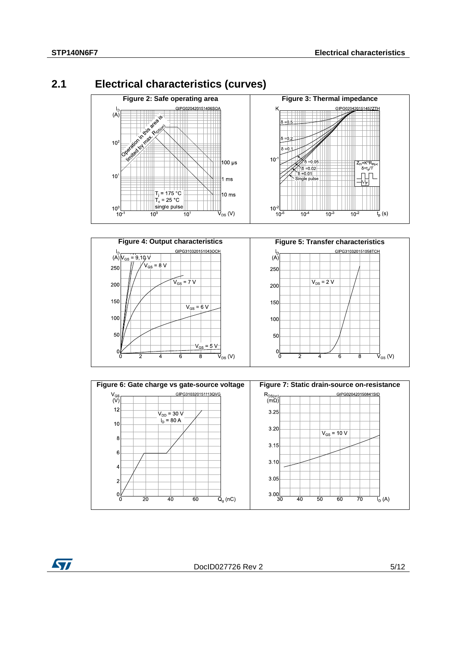ST

## **2.1 Electrical characteristics (curves)**

<span id="page-4-0"></span>





DocID027726 Rev 2 5/12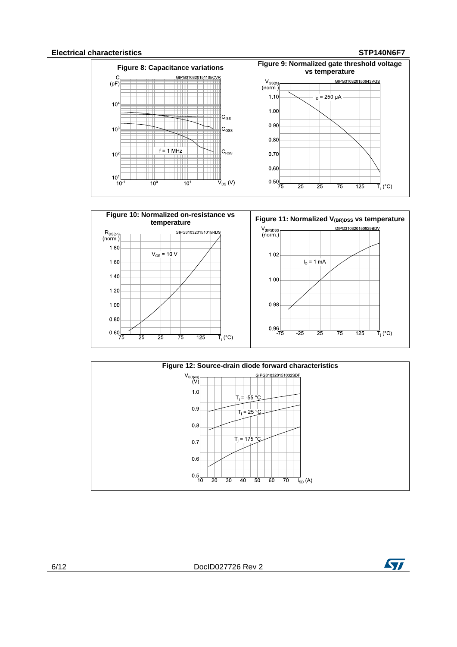#### **Electrical characteristics STP140N6F7**







6/12 DocID027726 Rev 2

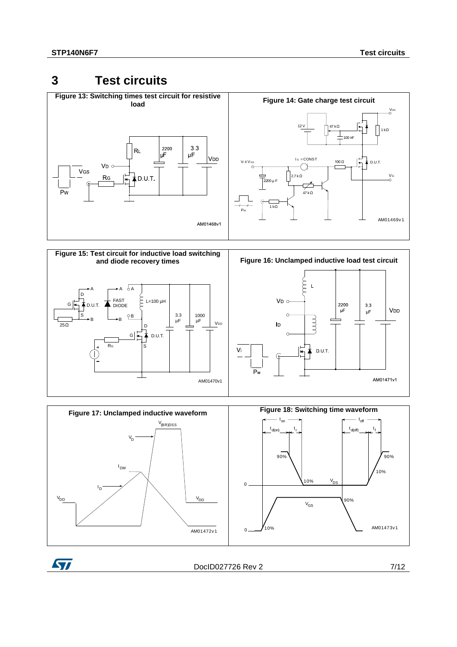ST

## <span id="page-6-1"></span><span id="page-6-0"></span>**3 Test circuits**

<span id="page-6-2"></span>

<span id="page-6-4"></span>

<span id="page-6-3"></span>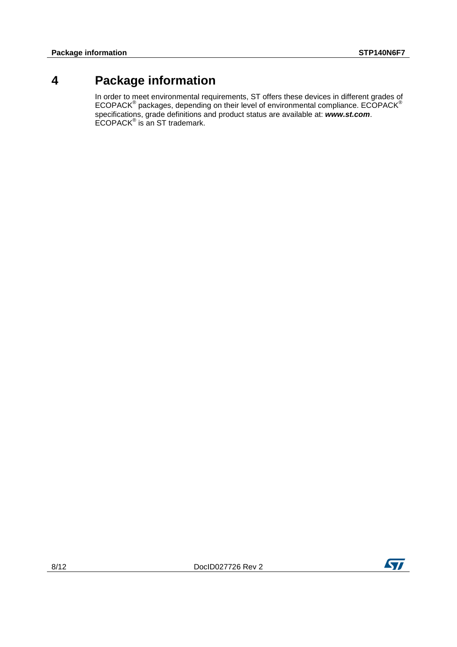## **4 Package information**

<span id="page-7-0"></span>In order to meet environmental requirements, ST offers these devices in different grades of  $ECOPACK^{\circledast}$  packages, depending on their level of environmental compliance.  $ECOPACK^{\circledast}$ specifications, grade definitions and product status are available at: *www.st.com*. ECOPACK® is an ST trademark.

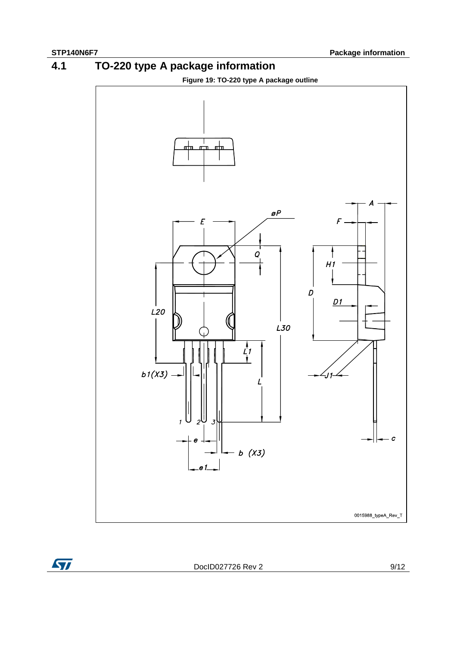ST





<span id="page-8-0"></span>

DocID027726 Rev 2 9/12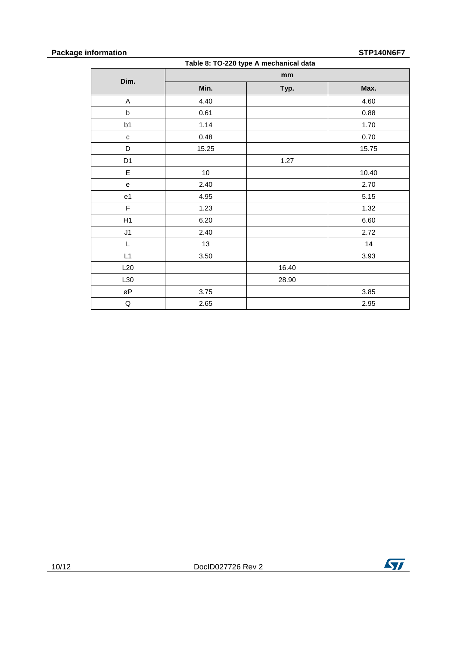### **Package information STP140N6F7**

#### **Table 8: TO-220 type A mechanical data**

| rapic of TO 220 type A meenamedradia               |       |       |          |
|----------------------------------------------------|-------|-------|----------|
|                                                    |       | mm    |          |
| Dim.                                               | Min.  | Typ.  | Max.     |
| $\mathsf A$                                        | 4.40  |       | 4.60     |
| $\sf b$                                            | 0.61  |       | 0.88     |
| b1                                                 | 1.14  |       | 1.70     |
| $\mathbf c$                                        | 0.48  |       | $0.70\,$ |
| D                                                  | 15.25 |       | 15.75    |
| D <sub>1</sub>                                     |       | 1.27  |          |
| $\mathsf E$                                        | 10    |       | 10.40    |
| 2.40<br>$\mathsf{e}% _{0}\left( \mathsf{e}\right)$ |       |       | 2.70     |
| e1                                                 | 4.95  |       | 5.15     |
| $\mathsf F$                                        | 1.23  |       | 1.32     |
| H1                                                 | 6.20  |       | 6.60     |
| J1                                                 | 2.40  |       | 2.72     |
| L                                                  | 13    |       | 14       |
| L1                                                 | 3.50  |       | 3.93     |
| L20                                                |       | 16.40 |          |
| L30                                                |       | 28.90 |          |
| øP                                                 | 3.75  |       | 3.85     |
| Q                                                  | 2.65  |       | 2.95     |

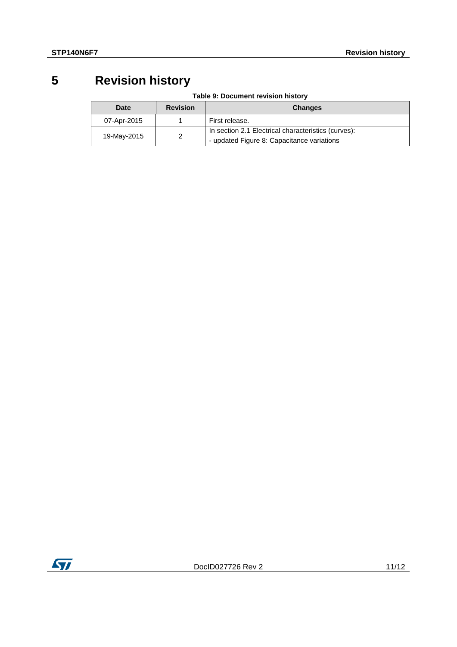## **5 Revision history**

|  | Table 9: Document revision history |  |  |
|--|------------------------------------|--|--|
|--|------------------------------------|--|--|

<span id="page-10-0"></span>

| Date        | <b>Revision</b> | <b>Changes</b>                                      |
|-------------|-----------------|-----------------------------------------------------|
| 07-Apr-2015 |                 | First release.                                      |
| 19-May-2015 |                 | In section 2.1 Electrical characteristics (curves): |
|             |                 | - updated Figure 8: Capacitance variations          |